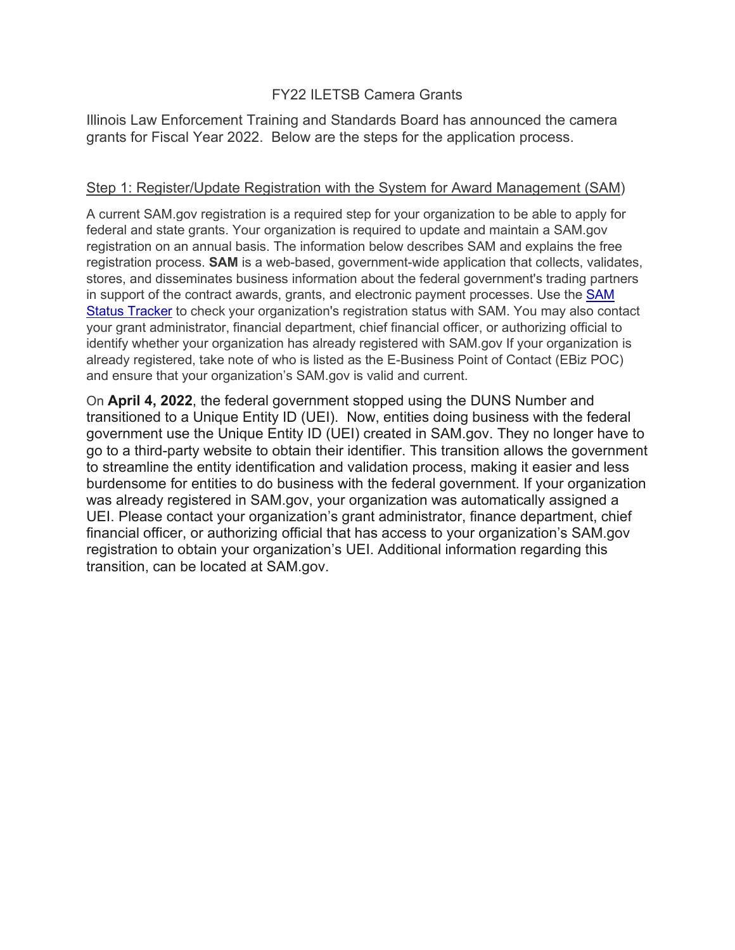# FY22 ILETSB Camera Grants

Illinois Law Enforcement Training and Standards Board has announced the camera grants for Fiscal Year 2022. Below are the steps for the application process.

#### Step 1: Register/Update Registration with the System for Award Management (SAM)

A current SAM.gov registration is a required step for your organization to be able to apply for federal and state grants. Your organization is required to update and maintain a SAM.gov registration on an annual basis. The information below describes SAM and explains the free registration process. **SAM** is a web-based, government-wide application that collects, validates, stores, and disseminates business information about the federal government's trading partners in support of the contract awards, grants, and electronic payment processes. Use the [SAM](https://sam.gov/content/status-tracker)  [Status Tracker](https://sam.gov/content/status-tracker) to check your organization's registration status with SAM. You may also contact your grant administrator, financial department, chief financial officer, or authorizing official to identify whether your organization has already registered with SAM.gov If your organization is already registered, take note of who is listed as the E-Business Point of Contact (EBiz POC) and ensure that your organization's SAM.gov is valid and current.

On **April 4, 2022**, the federal government stopped using the DUNS Number and transitioned to a Unique Entity ID (UEI). Now, entities doing business with the federal government use the Unique Entity ID (UEI) created in SAM.gov. They no longer have to go to a third-party website to obtain their identifier. This transition allows the government to streamline the entity identification and validation process, making it easier and less burdensome for entities to do business with the federal government. If your organization was already registered in SAM.gov, your organization was automatically assigned a UEI. Please contact your organization's grant administrator, finance department, chief financial officer, or authorizing official that has access to your organization's SAM.gov registration to obtain your organization's UEI. Additional information regarding this transition, can be located at SAM.gov.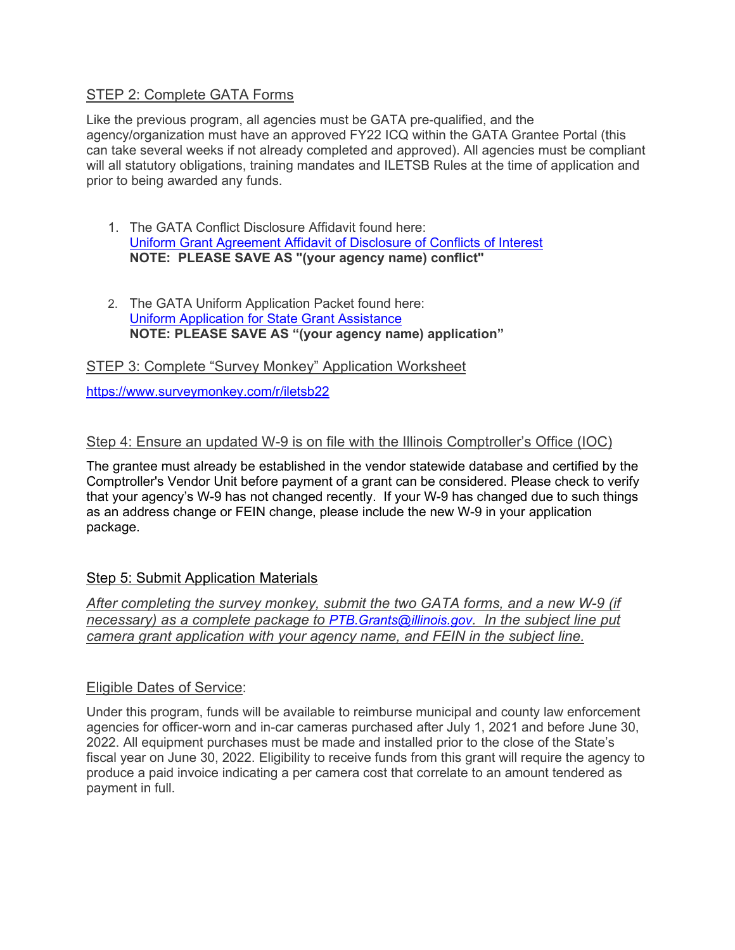# STEP 2: Complete GATA Forms

Like the previous program, all agencies must be GATA pre-qualified, and the agency/organization must have an approved FY22 ICQ within the GATA Grantee Portal (this can take several weeks if not already completed and approved). All agencies must be compliant will all statutory obligations, training mandates and ILETSB Rules at the time of application and prior to being awarded any funds.

- 1. The GATA Conflict Disclosure Affidavit found here: [Uniform Grant Agreement Affidavit of Disclosure of Conflicts of Interest](https://www.ptb.illinois.gov/media/1706/gata-disclosure-of-conflicts-of-interest-grantee.pdf) **NOTE: PLEASE SAVE AS "(your agency name) conflict"**
- 2. The GATA Uniform Application Packet found here: [Uniform Application for State Grant Assistance](https://www.ptb.illinois.gov/media/1704/fy22-iletsb-gata-uniform-application.pdf) **NOTE: PLEASE SAVE AS "(your agency name) application"**

STEP 3: Complete "Survey Monkey" Application Worksheet

<https://www.surveymonkey.com/r/iletsb22>

# Step 4: Ensure an updated W-9 is on file with the Illinois Comptroller's Office (IOC)

The grantee must already be established in the vendor statewide database and certified by the Comptroller's Vendor Unit before payment of a grant can be considered. Please check to verify that your agency's W-9 has not changed recently. If your W-9 has changed due to such things as an address change or FEIN change, please include the new W-9 in your application package.

# Step 5: Submit Application Materials

*After completing the survey monkey, submit the two GATA forms, and a new W-9 (if necessary) as a complete package to [PTB.Grants@illinois.gov.](mailto:PTB.Grants@illinois.gov) In the subject line put camera grant application with your agency name, and FEIN in the subject line.*

# Eligible Dates of Service:

Under this program, funds will be available to reimburse municipal and county law enforcement agencies for officer-worn and in-car cameras purchased after July 1, 2021 and before June 30, 2022. All equipment purchases must be made and installed prior to the close of the State's fiscal year on June 30, 2022. Eligibility to receive funds from this grant will require the agency to produce a paid invoice indicating a per camera cost that correlate to an amount tendered as payment in full.